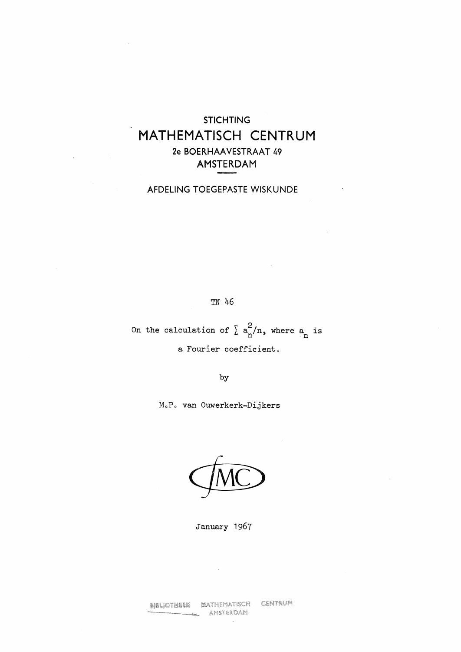## **STICHTING**  MATHEMATISCH CENTRUM **2e BOERHAAVESTRAAT 49 AMSTERDAM**

## AFDELING TOEGEPASTE WISKUNDE

 $\bar{\star}$ 

TN 46

On the calculation of  $\sum_{n=1}^{\infty} a_n^2/n$ , where  $a_n$  is a Fourier coefficient,

by

MoP, van Ouwerkerk-Dijkers



January 1967

CENTRUM **BIBLIOTHEEK MATHEMATISCH** AMSTERDAM

 $\sim$ 

 $\sim$   $\sim$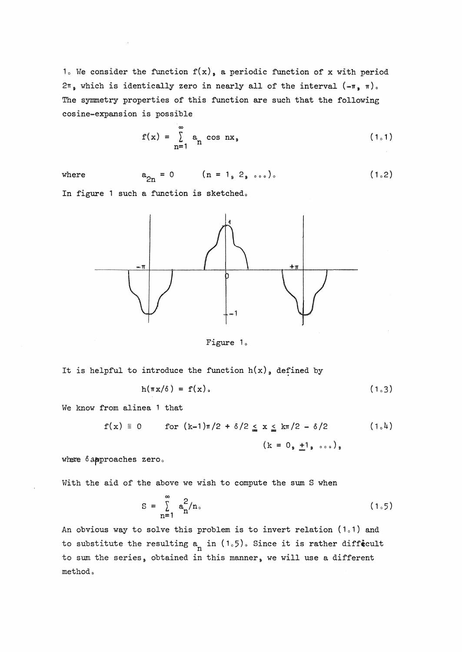1. We consider the function  $f(x)$ , a periodic function of x with period  $2\pi$ , which is identically zero in nearly all of the interval  $(-\pi, \pi)$ . The symmetry properties of this function are such that the following cosine-expansion is possible

$$
f(x) = \sum_{n=1}^{\infty} a_n \cos nx_3
$$
 (1.1)

where  $a_{2n} = 0$   $(n = 1, 2, \ldots).$  $(1.2)$ 

In figure 1 such a function is sketched.



Figure 1.

It is helpful to introduce the function  $h(x)$ , defined by

$$
h(\pi x/\delta) = f(x). \qquad (1.3)
$$

We know from alinea 1 that

$$
f(x) \equiv 0
$$
 for  $(k-1)\pi/2 + \delta/2 \le x \le k\pi/2 - \delta/2$  (1.4)  
\n $(k = 0, \pm 1, \dots, \cdot)$ 

where  $\delta$  approaches zero.

With the aid of the above we wish to compute the sum S when

$$
S = \sum_{n=1}^{\infty} a_n^2 / n \tag{1.5}
$$

An obvious way to solve this problem is to invert relation  $(1,1)$  and to substitute the resulting  $a_n$  in  $(1.5)$ . Since it is rather diffecult to sum the series, obtained in this manner, we will use a different method.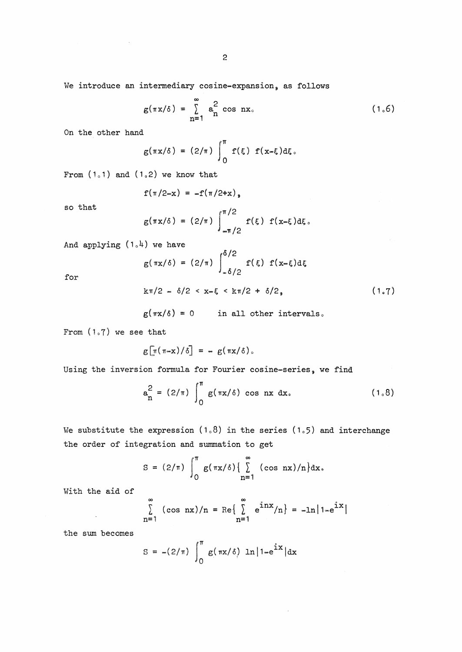We introduce an intermediary cosine-expansion, as follows

$$
g(\pi x/\delta) = \sum_{n=1}^{\infty} a_n^2 \cos nx.
$$
 (1.6)

On the other hand

$$
g(\pi x/\delta) = (2/\pi) \int_0^{\pi} f(\xi) f(x-\xi) d\xi.
$$

From  $(1,1)$  and  $(1,2)$  we know that

$$
f(\pi/2-x) = -f(\pi/2+x)_{\circ}
$$

so that

$$
g(\pi x/\delta) = (2/\pi) \int_{-\pi/2}^{\pi/2} f(\xi) f(x-\xi) d\xi.
$$

And applying  $(1, 4)$  we have

$$
g(\pi x/\delta) = (2/\pi) \int_{-\delta/2}^{\delta/2} f(\xi) f(x-\xi) d\xi
$$

for

$$
k\pi/2 = \delta/2 < x = \xi < k\pi/2 + \delta/2
$$

$$
g(\pi x/\delta) = 0
$$
 in all other intervals.

From {1.7) we see that

$$
g\left[\pi(\pi \cdot x)/\delta\right] = - g(\pi x/\delta).
$$

Using the inversion formula for Fourier cosine-series, we find

$$
a_n^2 = (2/\pi) \int_0^{\pi} g(\pi x/\delta) \cos nx \, dx.
$$
 (1.8)

We substitute the expression  $(1,8)$  in the series  $(1,5)$  and interchange the order of integration and summation to get

$$
S = (2/\pi) \int_0^{\pi} g(\pi x/\delta) \left\{ \sum_{n=1}^{\infty} (\cos nx)/n \right\} dx,
$$

With the aid of

 $\mathcal{L}$ 

$$
\sum_{n=1}^{\infty} (\cos nx)/n = \text{Re}\left\{\sum_{n=1}^{\infty} e^{inx}/n\right\} = -\ln|1-e^{ix}|
$$

the sum becomes

$$
S = -(2/\pi) \int_0^{\pi} g(\pi x/\delta) \ln |1 - e^{ix}| dx
$$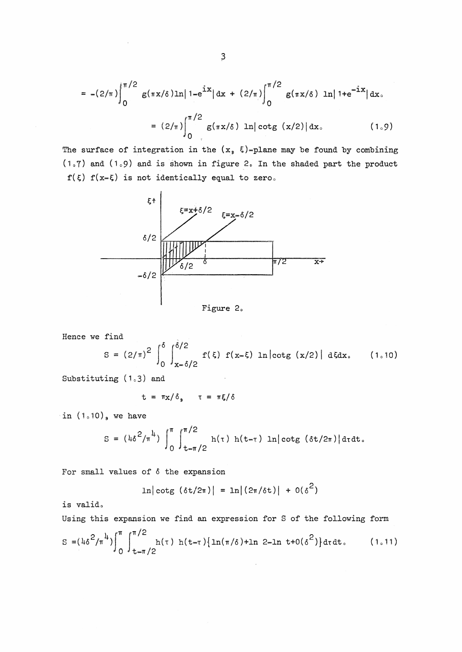$$
= -(2/\pi) \int_0^{\pi/2} g(\pi x/\delta) \ln |1 - e^{i\chi}| dx + (2/\pi) \int_0^{\pi/2} g(\pi x/\delta) \ln |1 + e^{-i\chi}| dx.
$$
  

$$
= (2/\pi) \int_0^{\pi/2} g(\pi x/\delta) \ln |\cot g(x/2)| dx.
$$
 (1.9)

The surface of integration in the  $(x, \xi)$ -plane may be found by combining ( $1.7$ ) and ( $1.9$ ) and is shown in figure 2. In the shaded part the product  $f({\xi})$   $f(x={\xi})$  is not identically equal to zero.



Figure 2.

Hence we find

$$
S = (2/\pi)^2 \int_0^{\delta} \int_{x=\delta/2}^{\delta/2} f(\xi) f(x-\xi) \ln |\cot g(x/2)| d\xi dx.
$$
 (1.10)

Substituting  $(1.3)$  and

$$
t = \pi x / \delta_{\varphi} \qquad t = \pi \xi / \delta
$$

in  $(1.10)$ , we have

$$
S = (\mu \delta^{2}/\pi^{l_{1}}) \int_{0}^{\pi} \int_{t=\pi/2}^{\pi/2} h(\tau) h(t-\tau) ln[cot g (\delta t/2\pi)] d\tau dt.
$$

For small values of  $\delta$  the expansion

$$
\ln |\cot g(\delta t/2\pi)| = \ln |(2\pi/\delta t)| + O(\delta^2)
$$

is valid.

Using this expansion we find an expression for S of the following form  $S = (4\delta^2/\pi^4) \int^{\pi} \int^{\pi/2} h(\tau) h(t-\tau) \{ln(\pi/\delta) + ln 2 - ln t + o(\delta^2) \} d\tau dt.$  (1.11)

$$
^{46^{2}/\pi^{4}}\Big|_{0}\Big|_{t=\pi/2}
$$
h(τ) h(t-τ){ln(π/δ)+ln 2-ln t+0(δ<sup>2</sup>)}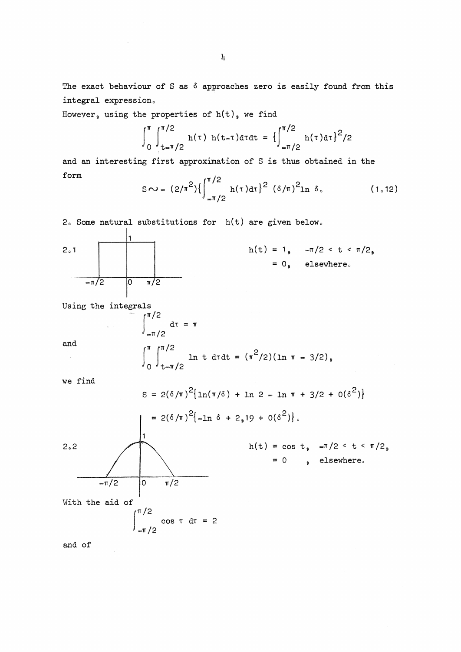The exact behaviour of S as  $\delta$  approaches zero is easily found from this integral expression.

Howeyer, using the properties of  $h(t)$ , we find

$$
\int_0^{\pi} \int_{t=\pi/2}^{\pi/2} h(\tau) h(t-\tau) d\tau dt = \left\{ \int_{-\pi/2}^{\pi/2} h(\tau) d\tau \right\}^2 / 2
$$

and an interesting first approximation of S is thus obtained in the form

$$
S \sim - (2/\pi^2) \left\{ \int_{-\pi/2}^{\pi/2} h(\tau) d\tau \right\}^2 (\delta/\pi)^2 \ln \delta. \tag{1.12}
$$

2. Some natural substitutions for  $h(t)$  are given below.



Using the integrals

and

 $\bar{\lambda}$ 

$$
\int_{-\pi/2}^{\pi/2} d\tau = \pi
$$
  

$$
\int_{0}^{\pi} \int_{t-\pi/2}^{\pi/2} \ln t \, dt dt = (\pi^{2}/2)(\ln \pi - 3/2),
$$

we find

$$
S = 2(\delta/\pi)^{2} \{ \ln(\pi/\delta) + \ln 2 - \ln \pi + 3/2 + 0(\delta^{2}) \}
$$
  
\n
$$
= 2(\delta/\pi)^{2} \{ -\ln \delta + 2, 19 + 0(\delta^{2}) \}.
$$
  
\n2.2  
\n
$$
h(t) = \cos t, -\pi/2 < t < \pi/2,
$$
  
\n
$$
= 0 , \text{ elsewhere.}
$$
  
\nWith the aid of  
\n
$$
\int_{-\pi/2}^{\pi/2} \cos \tau \, d\tau = 2
$$

and of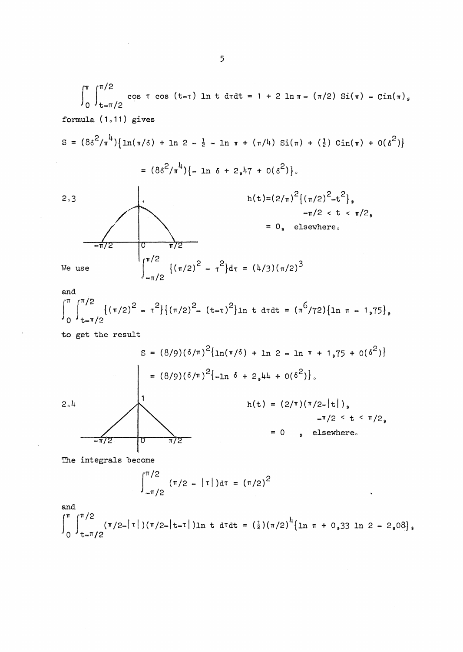$$
\int_{0}^{\pi} \int_{t=\pi/2}^{\pi/2} \cos \tau \cos (t-\tau) \ln t \, dt = 1 + 2 \ln \pi - (\pi/2) \, \text{Si}(\pi) - \text{Cin}(\pi),
$$
\n
$$
\text{formula (1.11) gives}
$$
\n
$$
S = (8\delta^{2}/\pi^{1}) \{ \ln(\pi/\delta) + \ln 2 - \frac{1}{2} - \ln \pi + (\pi/\mu) \, \text{Si}(\pi) + (\frac{1}{2}) \, \text{Cin}(\pi) + O(\delta^{2}) \}
$$
\n
$$
= (8\delta^{2}/\pi^{1}) \{ - \ln \delta + 2 \, \text{s} \, \text{Li}(\pi) + O(\delta^{2}) \}.
$$
\n
$$
= 0,
$$
\n
$$
\text{It is shown that}
$$
\n
$$
\int_{-\pi/2}^{\pi/2} \text{Li}(\pi/2)^{2} - \tau^{2} \} d\tau = (\frac{1}{3}) (\pi/2)^{3}
$$
\n
$$
\int_{-\pi/2}^{\pi/2} \{ (\pi/2)^{2} - \tau^{2} \} d\tau = (\frac{1}{3}) (\pi/2)^{3}
$$

and  
\n
$$
\int_{0}^{\pi} \int_{t=\pi/2}^{\pi/2} \{(\pi/2)^2 - \tau^2\} \{(\pi/2)^2 - (t-\tau)^2\} \ln t \text{ d} \tau dt = (\pi^6/72) \{\ln \pi - 1,75\},
$$

to get the result

$$
S = (8/9)(6/\pi)^{2} \{ln(\pi/6) + ln 2 - ln \pi + 1,75 + O(6^{2})\}
$$
  
\n
$$
= (8/9)(6/\pi)^{2} \{-ln 6 + 2,44 + O(6^{2})\}.
$$
  
\n
$$
h(t) = (2/\pi)(\pi/2 - |t|),
$$
  
\n
$$
= 0 , elsewhere.
$$

The integrals become

$$
\int_{-\pi/2}^{\pi/2} (\pi/2 - |\tau|) d\tau = (\pi/2)^2
$$

and  $\int_{1}^{\pi}$   $\int_{1}^{\pi}$   $(\pi/2-|\tau|)(\pi/2-|t-\tau|)$ ln t dtdt =  $(\frac{1}{2})(\pi/2)^{1/2}$ {1n  $\pi$  + 0,33 ln 2 - 2,08}. 0 <sup>J</sup>t⊸π/2

Ñ